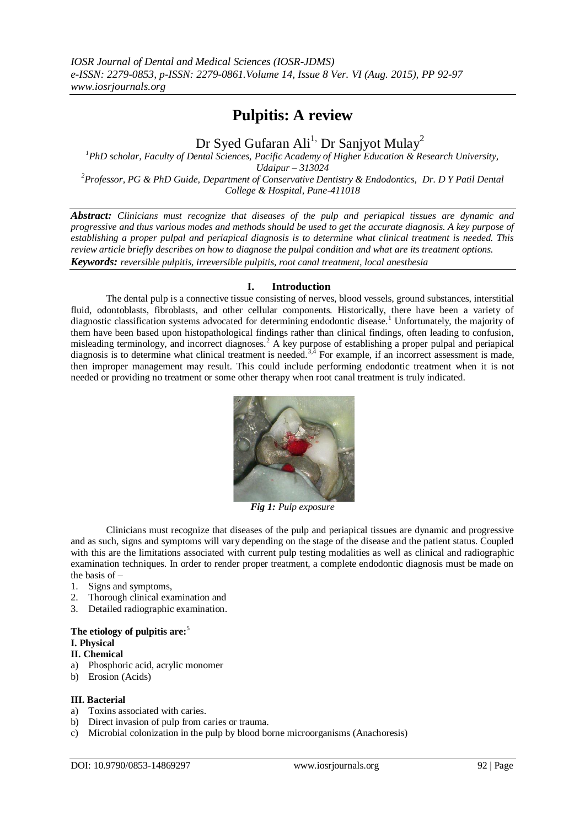## **Pulpitis: A review**

# Dr Syed Gufaran Ali<sup>1,</sup> Dr Sanjyot Mulay<sup>2</sup>

*<sup>1</sup>PhD scholar, Faculty of Dental Sciences, Pacific Academy of Higher Education & Research University, Udaipur – 313024 <sup>2</sup>Professor, PG & PhD Guide, Department of Conservative Dentistry & Endodontics, Dr. D Y Patil Dental College & Hospital, Pune-411018*

*Abstract: Clinicians must recognize that diseases of the pulp and periapical tissues are dynamic and progressive and thus various modes and methods should be used to get the accurate diagnosis. A key purpose of establishing a proper pulpal and periapical diagnosis is to determine what clinical treatment is needed. This review article briefly describes on how to diagnose the pulpal condition and what are its treatment options. Keywords: reversible pulpitis, irreversible pulpitis, root canal treatment, local anesthesia* 

## **I. Introduction**

The dental pulp is a connective tissue consisting of nerves, blood vessels, ground substances, interstitial fluid, odontoblasts, fibroblasts, and other cellular components. Historically, there have been a variety of diagnostic classification systems advocated for determining endodontic disease.<sup>1</sup> Unfortunately, the majority of them have been based upon histopathological findings rather than clinical findings, often leading to confusion, misleading terminology, and incorrect diagnoses.<sup>2</sup> A key purpose of establishing a proper pulpal and periapical diagnosis is to determine what clinical treatment is needed.<sup>3,4</sup> For example, if an incorrect assessment is made, then improper management may result. This could include performing endodontic treatment when it is not needed or providing no treatment or some other therapy when root canal treatment is truly indicated.



*Fig 1: Pulp exposure*

Clinicians must recognize that diseases of the pulp and periapical tissues are dynamic and progressive and as such, signs and symptoms will vary depending on the stage of the disease and the patient status. Coupled with this are the limitations associated with current pulp testing modalities as well as clinical and radiographic examination techniques. In order to render proper treatment, a complete endodontic diagnosis must be made on the basis of –

- 1. Signs and symptoms,
- 2. Thorough clinical examination and
- 3. Detailed radiographic examination.

## **The etiology of pulpitis are:**<sup>5</sup>

#### **I. Physical**

## **II. Chemical**

- a) Phosphoric acid, acrylic monomer
- b) Erosion (Acids)

## **III. Bacterial**

- a) Toxins associated with caries.
- b) Direct invasion of pulp from caries or trauma.
- c) Microbial colonization in the pulp by blood borne microorganisms (Anachoresis)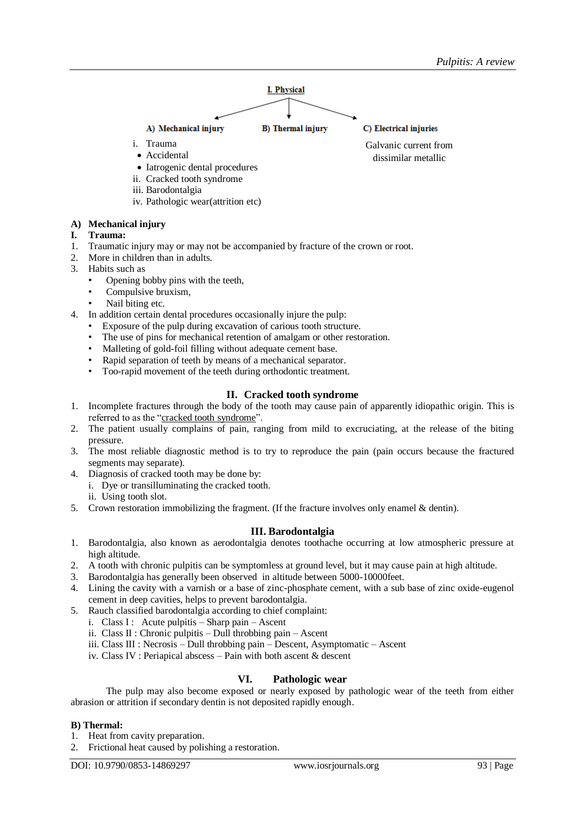

- iii. Barodontalgia
- iv. Pathologic wear(attrition etc)

## **A) Mechanical injury**

- **I. Trauma:**
- 1. Traumatic injury may or may not be accompanied by fracture of the crown or root.
- 2. More in children than in adults.
- 3. Habits such as
	- Opening bobby pins with the teeth,
	- Compulsive bruxism,
	- Nail biting etc.
- 4. In addition certain dental procedures occasionally injure the pulp:
	- Exposure of the pulp during excavation of carious tooth structure.
	- The use of pins for mechanical retention of amalgam or other restoration.
	- Malleting of gold-foil filling without adequate cement base.
	- Rapid separation of teeth by means of a mechanical separator.
	- Too-rapid movement of the teeth during orthodontic treatment.

## **II. Cracked tooth syndrome**

- 1. Incomplete fractures through the body of the tooth may cause pain of apparently idiopathic origin. This is referred to as the "cracked tooth syndrome".
- 2. The patient usually complains of pain, ranging from mild to excruciating, at the release of the biting pressure.
- 3. The most reliable diagnostic method is to try to reproduce the pain (pain occurs because the fractured segments may separate).
- 4. Diagnosis of cracked tooth may be done by:
	- i. Dye or transilluminating the cracked tooth.
	- ii. Using tooth slot.
- 5. Crown restoration immobilizing the fragment. (If the fracture involves only enamel & dentin).

## **III. Barodontalgia**

- 1. Barodontalgia, also known as aerodontalgia denotes toothache occurring at low atmospheric pressure at high altitude.
- 2. A tooth with chronic pulpitis can be symptomless at ground level, but it may cause pain at high altitude.
- 3. Barodontalgia has generally been observed in altitude between 5000-10000feet.
- 4. Lining the cavity with a varnish or a base of zinc-phosphate cement, with a sub base of zinc oxide-eugenol cement in deep cavities, helps to prevent barodontalgia.
- 5. Rauch classified barodontalgia according to chief complaint:
	- i. Class I : Acute pulpitis Sharp pain Ascent
	- ii. Class II : Chronic pulpitis Dull throbbing pain Ascent
	- iii. Class III : Necrosis Dull throbbing pain Descent, Asymptomatic Ascent
	- iv. Class IV : Periapical abscess Pain with both ascent & descent

## **VI. Pathologic wear**

The pulp may also become exposed or nearly exposed by pathologic wear of the teeth from either abrasion or attrition if secondary dentin is not deposited rapidly enough.

## **B) Thermal:**

- 1. Heat from cavity preparation.
- 2. Frictional heat caused by polishing a restoration.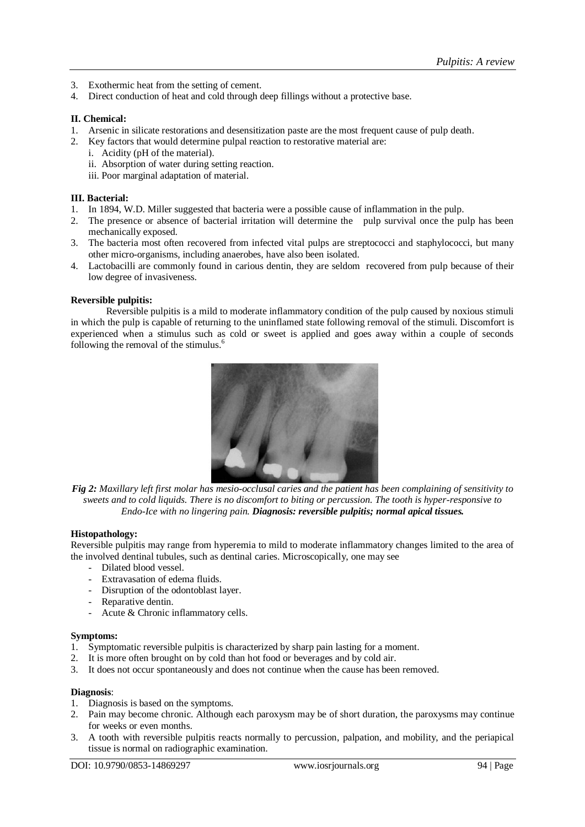- 3. Exothermic heat from the setting of cement.
- 4. Direct conduction of heat and cold through deep fillings without a protective base.

#### **II. Chemical:**

- 1. Arsenic in silicate restorations and desensitization paste are the most frequent cause of pulp death.
- 2. Key factors that would determine pulpal reaction to restorative material are:
	- i. Acidity (pH of the material).
	- ii. Absorption of water during setting reaction.
	- iii. Poor marginal adaptation of material.

#### **III. Bacterial:**

- 1. In 1894, W.D. Miller suggested that bacteria were a possible cause of inflammation in the pulp.
- 2. The presence or absence of bacterial irritation will determine the pulp survival once the pulp has been mechanically exposed.
- 3. The bacteria most often recovered from infected vital pulps are streptococci and staphylococci, but many other micro-organisms, including anaerobes, have also been isolated.
- 4. Lactobacilli are commonly found in carious dentin, they are seldom recovered from pulp because of their low degree of invasiveness.

#### **Reversible pulpitis:**

Reversible pulpitis is a mild to moderate inflammatory condition of the pulp caused by noxious stimuli in which the pulp is capable of returning to the uninflamed state following removal of the stimuli. Discomfort is experienced when a stimulus such as cold or sweet is applied and goes away within a couple of seconds following the removal of the stimulus.<sup>6</sup>



*Fig 2: Maxillary left first molar has mesio-occlusal caries and the patient has been complaining of sensitivity to sweets and to cold liquids. There is no discomfort to biting or percussion. The tooth is hyper-responsive to Endo-Ice with no lingering pain. Diagnosis: reversible pulpitis; normal apical tissues.*

#### **Histopathology:**

Reversible pulpitis may range from hyperemia to mild to moderate inflammatory changes limited to the area of the involved dentinal tubules, such as dentinal caries. Microscopically, one may see

- Dilated blood vessel.
- Extravasation of edema fluids.
- Disruption of the odontoblast layer.
- Reparative dentin.
- Acute & Chronic inflammatory cells.

#### **Symptoms:**

- 1. Symptomatic reversible pulpitis is characterized by sharp pain lasting for a moment.
- 2. It is more often brought on by cold than hot food or beverages and by cold air.
- 3. It does not occur spontaneously and does not continue when the cause has been removed.

#### **Diagnosis**:

- 1. Diagnosis is based on the symptoms.
- 2. Pain may become chronic. Although each paroxysm may be of short duration, the paroxysms may continue for weeks or even months.
- 3. A tooth with reversible pulpitis reacts normally to percussion, palpation, and mobility, and the periapical tissue is normal on radiographic examination.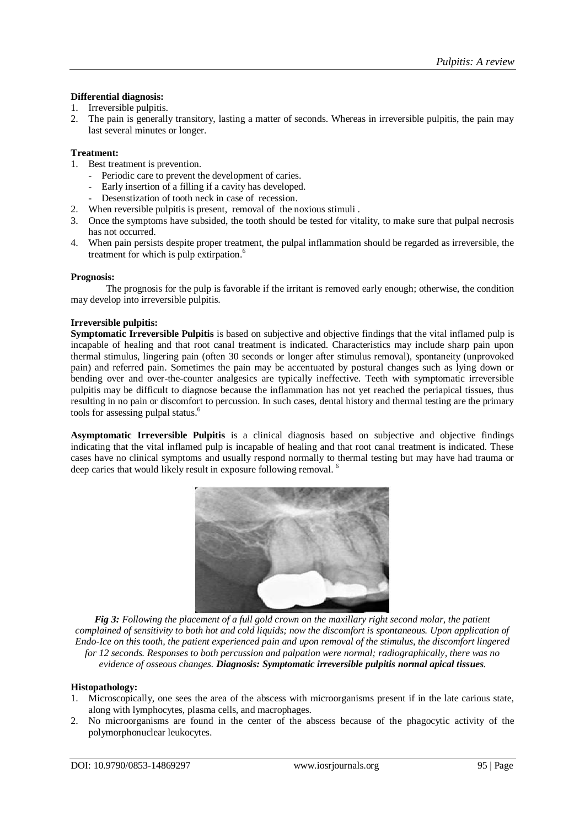## **Differential diagnosis:**

- 1. Irreversible pulpitis.
- 2. The pain is generally transitory, lasting a matter of seconds. Whereas in irreversible pulpitis, the pain may last several minutes or longer.

#### **Treatment:**

- 1. Best treatment is prevention.
	- Periodic care to prevent the development of caries.
	- Early insertion of a filling if a cavity has developed.
	- Desenstization of tooth neck in case of recession.
- 2. When reversible pulpitis is present, removal of the noxious stimuli .
- 3. Once the symptoms have subsided, the tooth should be tested for vitality, to make sure that pulpal necrosis has not occurred.
- 4. When pain persists despite proper treatment, the pulpal inflammation should be regarded as irreversible, the treatment for which is pulp extirpation.<sup>6</sup>

#### **Prognosis:**

The prognosis for the pulp is favorable if the irritant is removed early enough; otherwise, the condition may develop into irreversible pulpitis.

## **Irreversible pulpitis:**

**Symptomatic Irreversible Pulpitis** is based on subjective and objective findings that the vital inflamed pulp is incapable of healing and that root canal treatment is indicated. Characteristics may include sharp pain upon thermal stimulus, lingering pain (often 30 seconds or longer after stimulus removal), spontaneity (unprovoked pain) and referred pain. Sometimes the pain may be accentuated by postural changes such as lying down or bending over and over-the-counter analgesics are typically ineffective. Teeth with symptomatic irreversible pulpitis may be difficult to diagnose because the inflammation has not yet reached the periapical tissues, thus resulting in no pain or discomfort to percussion. In such cases, dental history and thermal testing are the primary tools for assessing pulpal status.<sup>6</sup>

**Asymptomatic Irreversible Pulpitis** is a clinical diagnosis based on subjective and objective findings indicating that the vital inflamed pulp is incapable of healing and that root canal treatment is indicated. These cases have no clinical symptoms and usually respond normally to thermal testing but may have had trauma or deep caries that would likely result in exposure following removal.<sup>6</sup>



*Fig 3: Following the placement of a full gold crown on the maxillary right second molar, the patient complained of sensitivity to both hot and cold liquids; now the discomfort is spontaneous. Upon application of Endo-Ice on this tooth, the patient experienced pain and upon removal of the stimulus, the discomfort lingered for 12 seconds. Responses to both percussion and palpation were normal; radiographically, there was no evidence of osseous changes. Diagnosis: Symptomatic irreversible pulpitis normal apical tissues.*

#### **Histopathology:**

- 1. Microscopically, one sees the area of the abscess with microorganisms present if in the late carious state, along with lymphocytes, plasma cells, and macrophages.
- 2. No microorganisms are found in the center of the abscess because of the phagocytic activity of the polymorphonuclear leukocytes.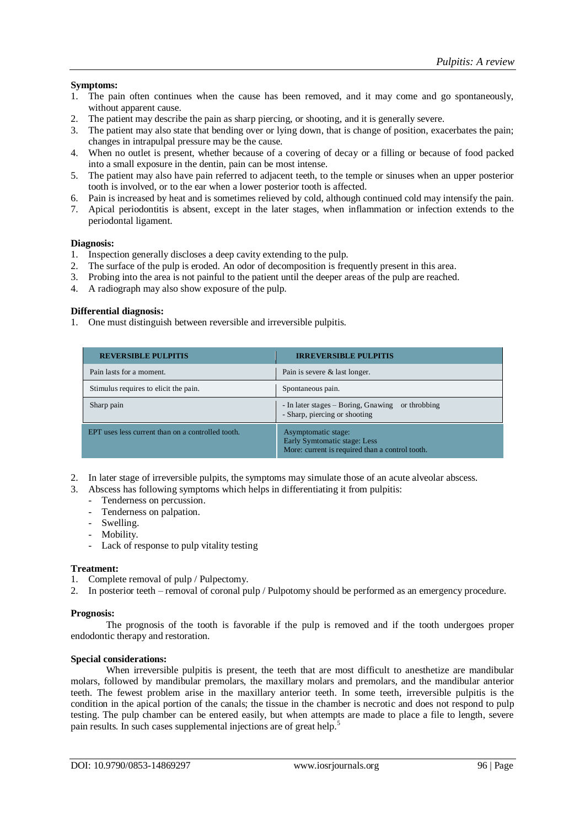## **Symptoms:**

- 1. The pain often continues when the cause has been removed, and it may come and go spontaneously, without apparent cause.
- 2. The patient may describe the pain as sharp piercing, or shooting, and it is generally severe.
- 3. The patient may also state that bending over or lying down, that is change of position, exacerbates the pain; changes in intrapulpal pressure may be the cause.
- 4. When no outlet is present, whether because of a covering of decay or a filling or because of food packed into a small exposure in the dentin, pain can be most intense.
- 5. The patient may also have pain referred to adjacent teeth, to the temple or sinuses when an upper posterior tooth is involved, or to the ear when a lower posterior tooth is affected.
- 6. Pain is increased by heat and is sometimes relieved by cold, although continued cold may intensify the pain.
- 7. Apical periodontitis is absent, except in the later stages, when inflammation or infection extends to the periodontal ligament.

#### **Diagnosis:**

- 1. Inspection generally discloses a deep cavity extending to the pulp.
- 2. The surface of the pulp is eroded. An odor of decomposition is frequently present in this area.
- 3. Probing into the area is not painful to the patient until the deeper areas of the pulp are reached.
- 4. A radiograph may also show exposure of the pulp.

## **Differential diagnosis:**

1. One must distinguish between reversible and irreversible pulpitis.

| <b>REVERSIBLE PULPITIS</b>                        | <b>IRREVERSIBLE PULPITIS</b>                                                                           |
|---------------------------------------------------|--------------------------------------------------------------------------------------------------------|
| Pain lasts for a moment.                          | Pain is severe & last longer.                                                                          |
| Stimulus requires to elicit the pain.             | Spontaneous pain.                                                                                      |
| Sharp pain                                        | - In later stages – Boring, Gnawing<br>or throbbing<br>- Sharp, piercing or shooting                   |
| EPT uses less current than on a controlled tooth. | Asymptomatic stage:<br>Early Symtomatic stage: Less<br>More: current is required than a control tooth. |

- 2. In later stage of irreversible pulpits, the symptoms may simulate those of an acute alveolar abscess.
- 3. Abscess has following symptoms which helps in differentiating it from pulpitis:
	- Tenderness on percussion.
	- Tenderness on palpation.
	- Swelling.
	- Mobility.
	- Lack of response to pulp vitality testing

#### **Treatment:**

- 1. Complete removal of pulp / Pulpectomy.
- 2. In posterior teeth removal of coronal pulp / Pulpotomy should be performed as an emergency procedure.

#### **Prognosis:**

The prognosis of the tooth is favorable if the pulp is removed and if the tooth undergoes proper endodontic therapy and restoration.

#### **Special considerations:**

When irreversible pulpitis is present, the teeth that are most difficult to anesthetize are mandibular molars, followed by mandibular premolars, the maxillary molars and premolars, and the mandibular anterior teeth. The fewest problem arise in the maxillary anterior teeth. In some teeth, irreversible pulpitis is the condition in the apical portion of the canals; the tissue in the chamber is necrotic and does not respond to pulp testing. The pulp chamber can be entered easily, but when attempts are made to place a file to length, severe pain results. In such cases supplemental injections are of great help.<sup>5</sup>